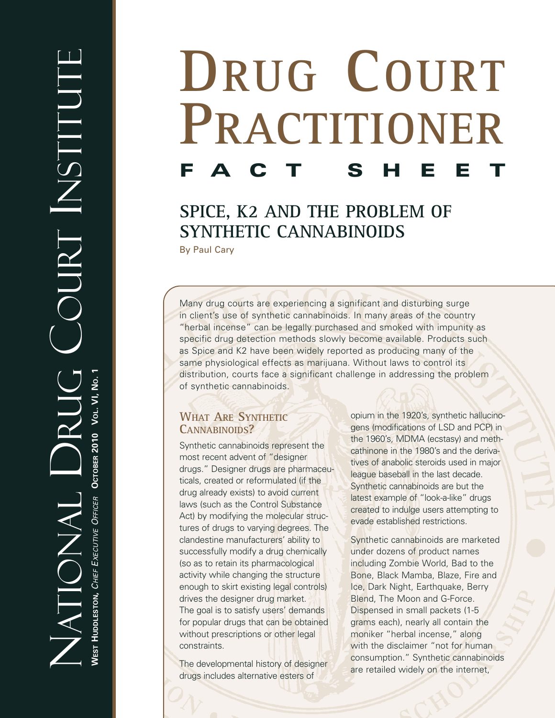# **DRUG COURT PRACTITIONER F A C T S H E E T**

# **SPICE, K2 AND THE PROBLEM OF SYNTHETIC CANNABINOIDS**

By Paul Cary

Many drug courts are experiencing a significant and disturbing surge in client's use of synthetic cannabinoids. In many areas of the country "herbal incense" can be legally purchased and smoked with impunity as specific drug detection methods slowly become available. Products such as Spice and K2 have been widely reported as producing many of the same physiological effects as marijuana. Without laws to control its distribution, courts face a significant challenge in addressing the problem of synthetic cannabinoids.

# **WHAT ARE SYNTHETIC CANNABINOIDS?**

Synthetic cannabinoids represent the most recent advent of "designer drugs." Designer drugs are pharmaceuticals, created or reformulated (if the drug already exists) to avoid current laws (such as the Control Substance Act) by modifying the molecular structures of drugs to varying degrees. The clandestine manufacturers' ability to successfully modify a drug chemically (so as to retain its pharmacological activity while changing the structure enough to skirt existing legal controls) drives the designer drug market. The goal is to satisfy users' demands for popular drugs that can be obtained without prescriptions or other legal constraints.

The developmental history of designer drugs includes alternative esters of

opium in the 1920's, synthetic hallucinogens (modifications of LSD and PCP) in the 1960's, MDMA (ecstasy) and methcathinone in the 1980's and the derivatives of anabolic steroids used in major league baseball in the last decade. Synthetic cannabinoids are but the latest example of "look-a-like" drugs created to indulge users attempting to evade established restrictions.

Synthetic cannabinoids are marketed under dozens of product names including Zombie World, Bad to the Bone, Black Mamba, Blaze, Fire and Ice, Dark Night, Earthquake, Berry Blend, The Moon and G-Force. Dispensed in small packets (1-5 grams each), nearly all contain the moniker "herbal incense," along with the disclaimer "not for human consumption." Synthetic cannabinoids are retailed widely on the internet,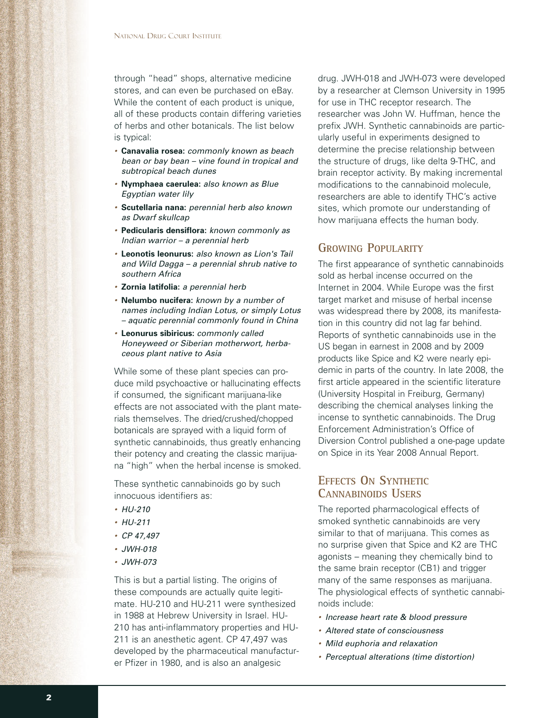through "head" shops, alternative medicine stores, and can even be purchased on eBay. While the content of each product is unique, all of these products contain differing varieties of herbs and other botanicals. The list below is typical:

- *•* **Canavalia rosea:** *commonly known as beach bean or bay bean – vine found in tropical and subtropical beach dunes*
- *•* **Nymphaea caerulea:** *also known as Blue Egyptian water lily*
- *•* **Scutellaria nana:** *perennial herb also known as Dwarf skullcap*
- *•* **Pedicularis densiflora:** *known commonly as Indian warrior – a perennial herb*
- *•* **Leonotis leonurus:** *also known as Lion's Tail and Wild Dagga – a perennial shrub native to southern Africa*
- *•* **Zornia latifolia:** *a perennial herb*
- *•* **Nelumbo nucifera:** *known by a number of names including Indian Lotus, or simply Lotus – aquatic perennial commonly found in China*
- *•* **Leonurus sibiricus:** *commonly called Honeyweed or Siberian motherwort, herbaceous plant native to Asia*

While some of these plant species can produce mild psychoactive or hallucinating effects if consumed, the significant marijuana-like effects are not associated with the plant materials themselves. The dried/crushed/chopped botanicals are sprayed with a liquid form of synthetic cannabinoids, thus greatly enhancing their potency and creating the classic marijuana "high" when the herbal incense is smoked.

These synthetic cannabinoids go by such innocuous identifiers as:

- *• HU-210*
- *• HU-211*
- *• CP 47,497*
- *• JWH-018*
- *• JWH-073*

This is but a partial listing. The origins of these compounds are actually quite legitimate. HU-210 and HU-211 were synthesized in 1988 at Hebrew University in Israel. HU-210 has anti-inflammatory properties and HU-211 is an anesthetic agent. CP 47,497 was developed by the pharmaceutical manufacturer Pfizer in 1980, and is also an analgesic

drug. JWH-018 and JWH-073 were developed by a researcher at Clemson University in 1995 for use in THC receptor research. The researcher was John W. Huffman, hence the prefix JWH. Synthetic cannabinoids are particularly useful in experiments designed to determine the precise relationship between the structure of drugs, like delta 9-THC, and brain receptor activity. By making incremental modifications to the cannabinoid molecule, researchers are able to identify THC's active sites, which promote our understanding of how marijuana effects the human body.

### **GROWING POPULARITY**

The first appearance of synthetic cannabinoids sold as herbal incense occurred on the Internet in 2004. While Europe was the first target market and misuse of herbal incense was widespread there by 2008, its manifestation in this country did not lag far behind. Reports of synthetic cannabinoids use in the US began in earnest in 2008 and by 2009 products like Spice and K2 were nearly epidemic in parts of the country. In late 2008, the first article appeared in the scientific literature (University Hospital in Freiburg, Germany) describing the chemical analyses linking the incense to synthetic cannabinoids. The Drug Enforcement Administration's Office of Diversion Control published a one-page update on Spice in its Year 2008 Annual Report.

## **EFFECTS ON SYNTHETIC CANNABINOIDS USERS**

The reported pharmacological effects of smoked synthetic cannabinoids are very similar to that of marijuana. This comes as no surprise given that Spice and K2 are THC agonists – meaning they chemically bind to the same brain receptor (CB1) and trigger many of the same responses as marijuana. The physiological effects of synthetic cannabinoids include:

- *• Increase heart rate & blood pressure*
- *• Altered state of consciousness*
- *• Mild euphoria and relaxation*
- *• Perceptual alterations (time distortion)*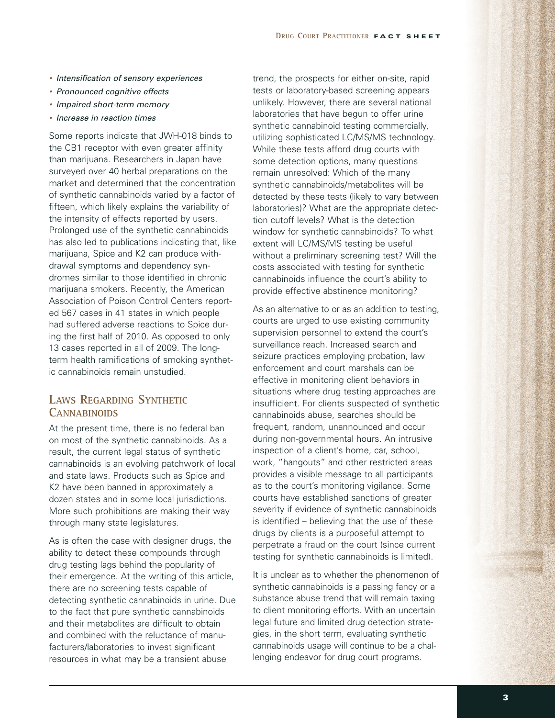- *• Intensification of sensory experiences*
- *• Pronounced cognitive effects*
- *• Impaired short-term memory*
- *• Increase in reaction times*

Some reports indicate that JWH-018 binds to the CB1 receptor with even greater affinity than marijuana. Researchers in Japan have surveyed over 40 herbal preparations on the market and determined that the concentration of synthetic cannabinoids varied by a factor of fifteen, which likely explains the variability of the intensity of effects reported by users. Prolonged use of the synthetic cannabinoids has also led to publications indicating that, like marijuana, Spice and K2 can produce withdrawal symptoms and dependency syndromes similar to those identified in chronic marijuana smokers. Recently, the American Association of Poison Control Centers reported 567 cases in 41 states in which people had suffered adverse reactions to Spice during the first half of 2010. As opposed to only 13 cases reported in all of 2009. The longterm health ramifications of smoking synthetic cannabinoids remain unstudied.

# **LAWS REGARDING SYNTHETIC CANNABINOIDS**

At the present time, there is no federal ban on most of the synthetic cannabinoids. As a result, the current legal status of synthetic cannabinoids is an evolving patchwork of local and state laws. Products such as Spice and K2 have been banned in approximately a dozen states and in some local jurisdictions. More such prohibitions are making their way through many state legislatures.

As is often the case with designer drugs, the ability to detect these compounds through drug testing lags behind the popularity of their emergence. At the writing of this article, there are no screening tests capable of detecting synthetic cannabinoids in urine. Due to the fact that pure synthetic cannabinoids and their metabolites are difficult to obtain and combined with the reluctance of manufacturers/laboratories to invest significant resources in what may be a transient abuse

trend, the prospects for either on-site, rapid tests or laboratory-based screening appears unlikely. However, there are several national laboratories that have begun to offer urine synthetic cannabinoid testing commercially, utilizing sophisticated LC/MS/MS technology. While these tests afford drug courts with some detection options, many questions remain unresolved: Which of the many synthetic cannabinoids/metabolites will be detected by these tests (likely to vary between laboratories)? What are the appropriate detection cutoff levels? What is the detection window for synthetic cannabinoids? To what extent will LC/MS/MS testing be useful without a preliminary screening test? Will the costs associated with testing for synthetic cannabinoids influence the court's ability to provide effective abstinence monitoring?

As an alternative to or as an addition to testing, courts are urged to use existing community supervision personnel to extend the court's surveillance reach. Increased search and seizure practices employing probation, law enforcement and court marshals can be effective in monitoring client behaviors in situations where drug testing approaches are insufficient. For clients suspected of synthetic cannabinoids abuse, searches should be frequent, random, unannounced and occur during non-governmental hours. An intrusive inspection of a client's home, car, school, work, "hangouts" and other restricted areas provides a visible message to all participants as to the court's monitoring vigilance. Some courts have established sanctions of greater severity if evidence of synthetic cannabinoids is identified – believing that the use of these drugs by clients is a purposeful attempt to perpetrate a fraud on the court (since current testing for synthetic cannabinoids is limited).

It is unclear as to whether the phenomenon of synthetic cannabinoids is a passing fancy or a substance abuse trend that will remain taxing to client monitoring efforts. With an uncertain legal future and limited drug detection strategies, in the short term, evaluating synthetic cannabinoids usage will continue to be a challenging endeavor for drug court programs.